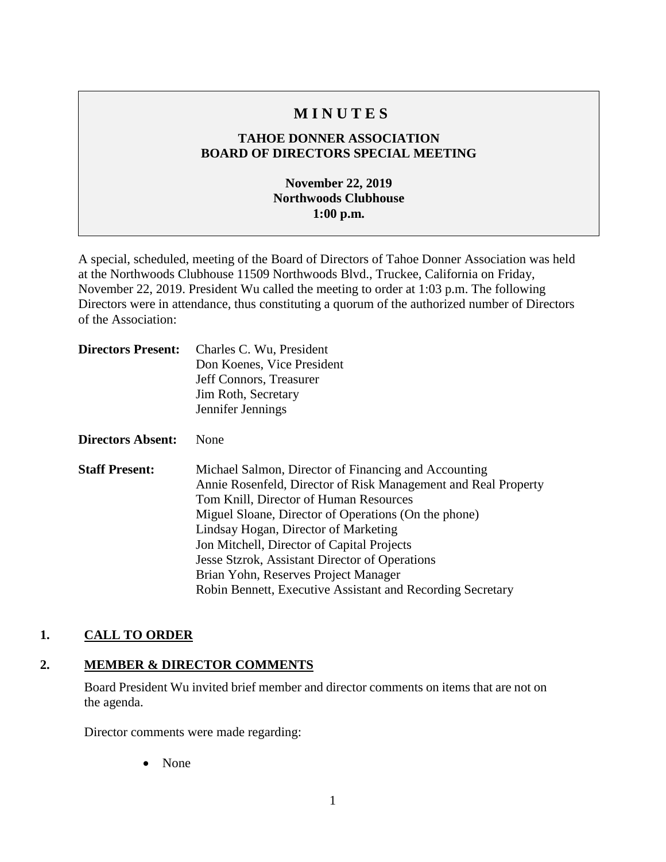# **M I N U T E S**

## **TAHOE DONNER ASSOCIATION BOARD OF DIRECTORS SPECIAL MEETING**

# **November 22, 2019 Northwoods Clubhouse 1:00 p.m.**

A special, scheduled, meeting of the Board of Directors of Tahoe Donner Association was held at the Northwoods Clubhouse 11509 Northwoods Blvd., Truckee, California on Friday, November 22, 2019. President Wu called the meeting to order at 1:03 p.m. The following Directors were in attendance, thus constituting a quorum of the authorized number of Directors of the Association:

| <b>Directors Present:</b> | Charles C. Wu, President<br>Don Koenes, Vice President<br>Jeff Connors, Treasurer<br>Jim Roth, Secretary<br>Jennifer Jennings                                                                                                                                                                                                                                                                                                                                          |
|---------------------------|------------------------------------------------------------------------------------------------------------------------------------------------------------------------------------------------------------------------------------------------------------------------------------------------------------------------------------------------------------------------------------------------------------------------------------------------------------------------|
| Directors Absent:         | None                                                                                                                                                                                                                                                                                                                                                                                                                                                                   |
| <b>Staff Present:</b>     | Michael Salmon, Director of Financing and Accounting<br>Annie Rosenfeld, Director of Risk Management and Real Property<br>Tom Knill, Director of Human Resources<br>Miguel Sloane, Director of Operations (On the phone)<br>Lindsay Hogan, Director of Marketing<br>Jon Mitchell, Director of Capital Projects<br>Jesse Stzrok, Assistant Director of Operations<br>Brian Yohn, Reserves Project Manager<br>Robin Bennett, Executive Assistant and Recording Secretary |

#### **1. CALL TO ORDER**

#### **2. MEMBER & DIRECTOR COMMENTS**

Board President Wu invited brief member and director comments on items that are not on the agenda.

Director comments were made regarding:

• None